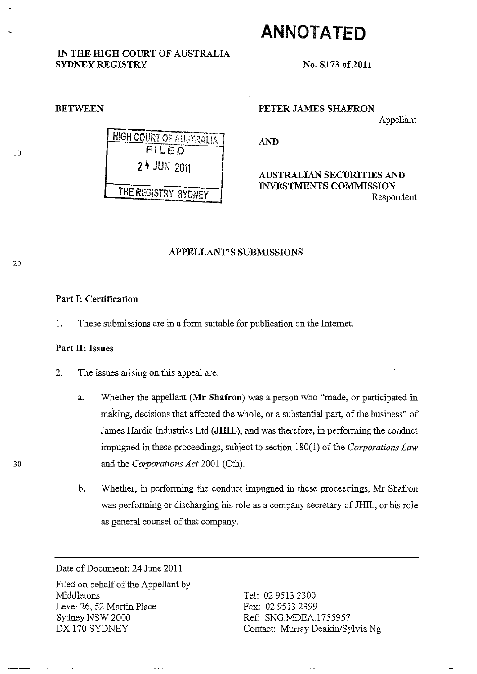# **ANNOTATED**

IN THE HIGH COURT OF AUSTRALIA

No. S173 of 2011

### BETWEEN

SYDNEY REGISTRY

PETER JAMES SHAFRON

Appellant

AND

# AUSTRALIAN SECURITIES AND INVESTMENTS COMMISSION Respondent

## APPELLANT'S SUBMISSIONS

# Part I: Certification

1. These submissions are in a form suitable for publication on the Internet.

# Part II: Issues

- 2. The issues arising on this appeal are:
- a. Whether the appellant (Mr Shafron) was a person who "made, or participated in making, decisions that affected the whole, or a substantial part, of the business" of James Hardie Industries Ltd (JHIL), and was therefore, in performing the conduct impugned in these proceedings, subject to section 180(1) of the *Corporations Law*  30 and the *Corporations Act* 2001 (Cth).
	- b. Whether, in performing the conduct impugned in these proceedings, Mr Shafron was performing or discharging his role as a company secretary of JHIL, or his role as general counsel of that company.

Date of Document: 24 June 2011

Filed on behalf of the Appellant by Middletons Level 26, 52 Martin Place Sydney NSW 2000 DX 170 SYDNEY

----------

Tel: 029513 2300 Fax: 029513 2399 Ref: SNG.MDEA.1755957 Contact: Murray Deakin/Sylvia Ng

10

20

HIGH COURT OF AUSTRALIA  $FILED$ 24 JUN 2011 THE REGISTRY SYDNEY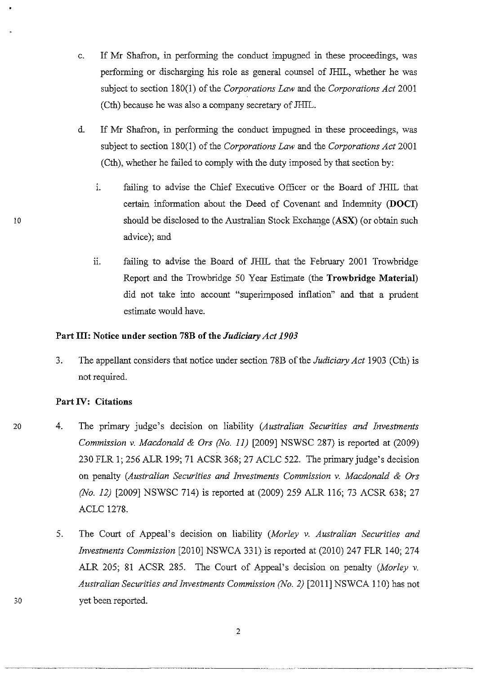- c. If Mr Shafron, in performing the conduct impugued in these proceedings, was performing or discharging his role as general counsel of IHIL, whether he was subject to section 180(1) of the *Corporations Law* and the *Corporations Act* 2001 (Cth) because he was also a company secretary of IHIL.
- d. If Mr Shafron, in performing the conduct impugned in these proceedings, was subject to section 180(1) of the *Corporations Law* and the *Corporations Act* 2001 (Cth), whether he failed to comply with the duty imposed by that section by:
	- 1. failing to advise the Chief Executive Officer or the Board of JHIL that certain information about the Deed of Covenant and Indemnity **(DOCI)**  should be disclosed to the Australian Stock Exchange (ASX) (or obtain such advice); and
	- ii. failing to advise the Board of JHIL that the February 2001 Trowbridge Report and the Trowbridge 50 Year Estimate (the **Trowbridge Material)**  did not take into account "superimposed inflation" and that a prudent estimate would have.

# **Part Ill: Notice under section 78B** of the *Judiciary Act 1903*

3. The appellant considers that notice under section 78B of the *Judiciary Act* 1903 (Cth) is not required.

# **Part IV: Citations**

- 4. The primary judge's decision on liability *(Australian Securities and Investments Commission* v. *Macdonald* & *Ors (No.* 11) [2009] NSWSC 287) is reported at (2009) 230 FLR 1; 256 ALR 199; 71 ACSR 368; 27 ACLC 522. The primary judge's decision on penalty *(Australian Securities and Investments Commission* v. *Macdonald* & *Ors (No. 12)* [2009] NSWSC 714) is reported at (2009) 259 ALR 116; 73 ACSR 638; 27 ACLC 1278.
	- 5. The Court of Appeal's decision on liability *(Morley* v. *Australian Securities and Investments Commission* [2010] NSWCA 331) is reported at (2010) 247 FLR 140; 274 ALR 205; 81 ACSR 285. The Court of Appeal's decision on penalty *(Morley* v. *Australian Securities and Investments Commission (No.* 2) [2011] NSWCA 110) has not yet been reported.

10

30

20

.. --------~-----.. ----- ~~~-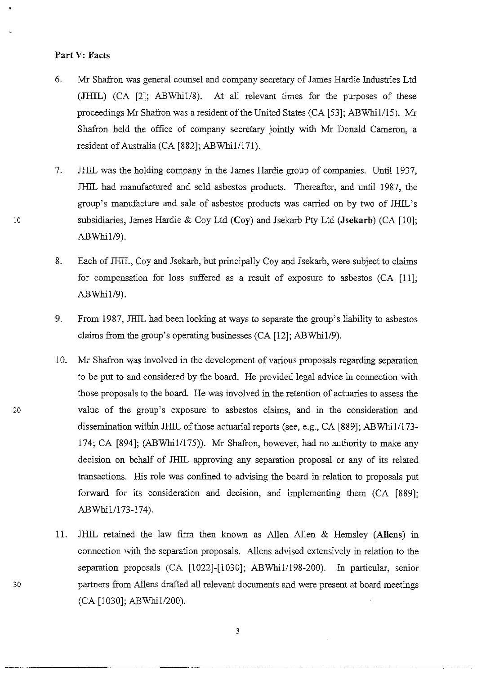### Part V: Facts

- 6. Mr Shafron was general counsel and company secretary of James Hardie Industries Ltd (JHIL) (CA [2]; ABWhiI/8). At all relevant times for the purposes of these proceedings Mr Shafron was a resident of the United States (CA [53]; ABWhi1/15). Mr Shafron held the office of company secretary jointly with Mr Donald Cameron, a resident of Australia (CA [882]; ABWhi1/171).
- 7. JHIL was the holding company in the James Hardie group of companies. Until 1937, JHIL had manufactured and sold asbestos products. Thereafter, and until 1987, the group's manufacture and sale of asbestos products was carried on by two of JHIL's 10 subsidiaries, James Hardie & Coy Ltd (Coy) and Jsekarb Pty Ltd (Jsekarb) (CA [10];  $ABWhi1/9$ ).
	- 8. Each of JHIL, Coy and Jsekarb, but principally Coy and Jsekarb, were subject to claims for compensation for loss suffered as a result of exposure to asbestos (CA [11]; ABWhil/9).
	- 9. From 1987, JHlL had been looking at ways to separate the group's liability to asbestos claims from the group's operating businesses (CA [12]; ABWhiIl9).
	- 10. Mr Shafron was involved in the development of various proposals regarding separation to be put to and considered by the board. He provided legal advice in connection with those proposals to the board. He was involved in the retention of actuaries to assess the value of the group's exposure to asbestos claims, and in the consideration and dissemination within JHIL of those actuarial reports (see, e.g., CA [889]; ABWhi1/173-174; CA [894]; (ABWhi1/175)). Mr Shafron, however, had no authority to make any decision on behalf of JHlL approving any separation proposal or any of its related transactions. His role was confined to advising the board in relation to proposals put forward for its consideration and decision, and implementing them (CA [889]; ABWhi1/173-174).
- 11. JHIL retained the law firm then known as Allen Alien & Hemsley (AlIens) in connection with the separation proposals. Aliens advised extensively in relation to the separation proposals (CA [1022]-[1030]; ABWhi1/198-200). In particular, senior 30 partners from Aliens drafted all relevant documents and were present at board meetings (CA [1030]; ABWhiIl200).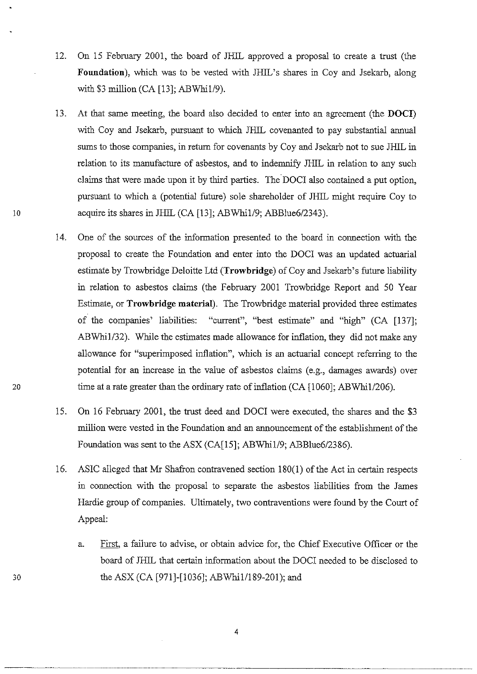- 12. On 15 February 2001, the board of JHIL approved a proposal to create a trust (the **Foundation),** which was to be vested with JHIL's shares in Coy and Jsekarb, along with  $$3$  million (CA [13]; ABWhi1/9).
- 13. At that same meeting, the board also decided to enter into an agreement (the **DOC!)**  with Coy and Jsekarb, pursuant to which JHIL covenanted to pay substantial annual sums to those companies, in return for covenants by Coy and Jsekarb not to sue JHIL in relation to its manufacture of asbestos, and to indemnify JHIL in relation to any such claims that were made upon it by third parties. The DOCI also contained a put option, pursuant to which a (potential future) sole shareholder of JHIL might require Coy to 10 acquire its shares in JHIL (CA [13]; ABWhi1/9; ABBlue6/2343).
- 14. One of the sources of the information presented to the board in connection with the proposal to create the Foundation and enter into the DOCr was an updated actuarial estimate by Trowbridge Deloitte Ltd **(Trowbridge)** of Coy and Jsekarb's future liability in relation to asbestos claims (the February 2001 Trowbridge Report and 50 Year Estimate, or **Trowbridge material).** The Trowbridge material provided three estimates of the companies' liabilities: "current", "best estimate" and "high" (CA [137]; ABWhi1/32). While the estimates made allowance for inflation, they did not make any allowance for "superimposed inflation", which is an actuarial concept referring to the potential for an increase in the value of asbestos claims (e.g., damages awards) over 20 time at a rate greater than the ordinary rate of inflation (CA [1060]; ABWhi1/206).
	- 15. On 16 February 2001, the trust deed and DOCr were executed, the shares and the \$3 million were vested in the Foundation and an announcement of the establishment of the Foundation was sent to the ASX (CA[15]; ABWhi1/9; ABBlue6/2386).
	- 16. ASIC alleged that Mr Shafron contravened section 180(1) of the Act in certain respects in connection with the proposal to separate the asbestos liabilities from the James Hardie group of companies. Ultimately, two contraventions were found by the Court of Appeal:
		- a. First, a failure to advise, or obtain advice for, the Chief Executive Officer or the board of JHIL that certain information about the DOCr needed to be disclosed to the ASX (CA [971]-[1036]; ABWhi1/189-201); and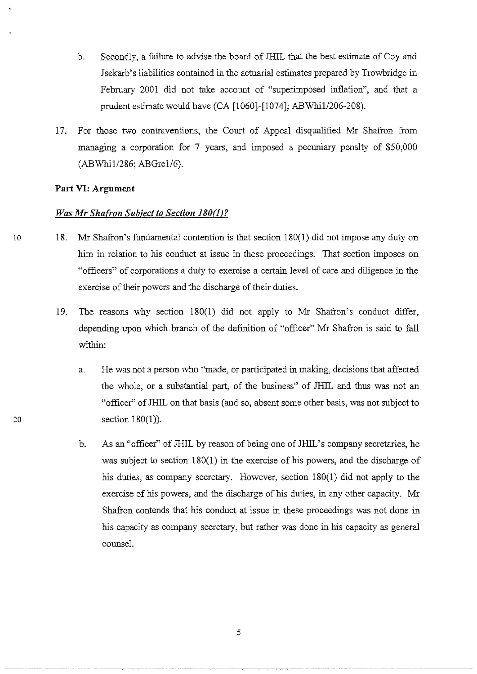- b. Secondly, a failure to advise the board of JHIL that the best estimate of Coy and Jsekarb's liabilities contained in the actuarial estimates prepared by Trowbridge in February 2001 did not take account of "superimposed inflation", and that a prudent estimate would have (CA [1060]-[1074]; ABWhi1/206-208).
- 17. For those two contraventions, the Court of Appeal disqualified Mr Shafron from managing a corporation for 7 years, and imposed a pecuniary penalty of \$50,000 (ABWhiI/286; ABGrel/6).

## **Part VI: Argument**

## *Was Mr Shufron Subject to Section 180(1)?*

- 10 18. Mr Shafron's fundamental contention is that section 180(1) did not impose any duty on him in relation to his conduct at issue in these proceedings. That section imposes on "officers" of corporations a duty to exercise a certain level of care and diligence in the exercise of their powers and the discharge of their duties.
	- 19. The reasons why section 180(1) did not apply to Mr Shafron's conduct differ, depending upon which branch of the definition of "officer" Mr Shafron is said to fall within:
		- a. He was not a person who "made, or participated in making, decisions that affected the whole, or a substantial part, of the business" of JHIL and thus was not an "officer" of JHlL on that basis (and so, absent some other basis, was not subject to section  $180(1)$ ).
		- b. As an "officer" of JHIL by reason of being one of JHIL's company secretaries, he was subject to section 180(1) in the exercise of his powers, and the discharge of his duties, as company secretary. However, section 180(1) did not apply to the exercise of his powers, and the discharge of his duties, in any other capacity. Mr Shafron contends that his conduct at issue in these proceedings was not done in his capacity as company secretary, but rather was done in his capacity as general counsel.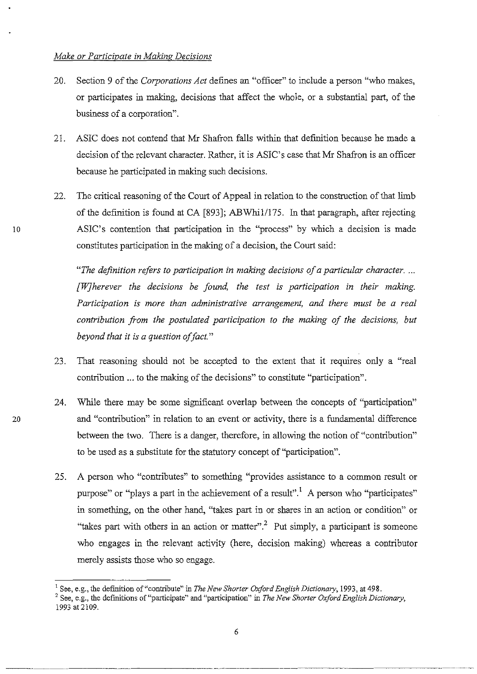- 20. Section 9 of the *Corporations Act* defmes an "officer" to include a person "who makes, or participates in making, decisions that affect the whole, or a substantial part, of the business of a corporation".
- 21. ASIC does not contend that Mr Shafron falls within that definition because he made a decision of the relevant character. Rather, it is ASIC's case that Mr Shafron is an officer because he participated in making such decisions.
- 22. The critical reasoning of the Court of Appeal in relation to the construction of that limb of the defmition is found at CA [893]; ABWhi1/175. In that paragraph, after rejecting ASIC's contention that participation in the "process" by which a decision is made constitutes participation in the making of a decision, the Court said:

*"The definition refers to participation in making decisions of a particular character .* ... *[WJherever the decisions be found, the test is participation in their making. Participation* is *more than administrative arrangement, and there must be a real contribution from the postulated participation to the making of the decisions, but beyond that it is a question of fact. "* 

- 23. That reasoning should not be accepted to the extent that it requrres only a "real contribution ... to the making of the decisions" to constitute "participation".
- 24. "While there may be some significant overlap between the concepts of "participation" 20 and "contribution" in relation to an event or activity, there is a fundamental difference between the two. There is a danger, therefore, in allowing the notion of "contribution" to be used as a substitute for the statutory concept of "participation".
	- 25. A person who "contributes" to something "provides assistance to a common result or purpose" or "plays a part in the achievement of a result".<sup>1</sup> A person who "participates" in something, on the other hand, "takes part in or shares in an action or condition" or "takes part with others in an action or matter".<sup>2</sup> Put simply, a participant is someone who engages in the relevant activity (here, decision making) whereas a contributor merely assists those who so engage.

<sup>&</sup>lt;sup>1</sup> See, e.g., the definition of "contribute" in *The New Shorter Oxford English Dictionary*, 1993, at 498.

<sup>2</sup> See, e.g., the definitions of "participate" and "participation" in *The New Shorter Oxford English Dictionary,*  1993 at2109.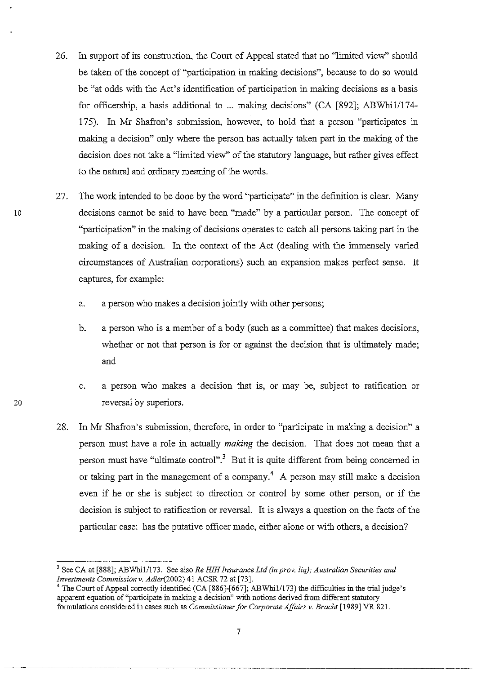- 26. In support of its construction, the Court of Appeal stated that no "limited view" should be taken of the concept of "participation in making decisions", because to do so would be "at odds with the Act's identification of participation in making decisions as a basis for officership, a basis additional to ... making decisions" (CA [892]; ABWhi1/174-175). In Mr Shafron's submission, however, to hold that a person "participates in making a decision" only where the person has actually taken part in the making of the decision does not take a "limited view" of the statutory language, but rather gives effect to the natural and ordinary meaning of the words.
- 27. The work intended to be done by the word "participate" in the definition is clear. Many 10 decisions cannot be said to have been "made" by a particular person. The concept of "participation" in the making of decisions operates to catch all persons taking part in the making of a decision. In the context of the Act (dealing with the immensely varied circumstances of Australian corporations) such an expansion makes perfect sense. It captures, for example:
	- a. a person who makes a decision jointly with other persons;
	- b. a person who is a member of a body (such as a committee) that makes decisions, whether or not that person is for or against the decision that is ultimately made; and
	- c. a person who makes a decision that is, or may be, subject to ratification or reversal by superiors.
	- 28. In Mr Shafron's submission, therefore, in order to "participate in making a decision" a person must have a role in actually *making* the decision. That does not mean that a person must have "ultimate control".3 But it is quite different from being concerned in or taking part in the management of a company.<sup>4</sup> A person may still make a decision even if he or she is subject to direction or control by some other person, or if the decision is subject to ratification or reversal. It is always a question on the facts of the particular case: has the putative officer made, either alone or with others, a decision?

<sup>&</sup>lt;sup>3</sup> See CA at [888]; ABWhi1/173. See also *Re HIH Insurance Ltd (in prov. liq); Australian Securities and Irrvestments Commission* v. *Adler(2002)* 41 ACSR 72 at [73].

<sup>&</sup>lt;sup>4</sup> The Court of Appeal correctly identified (CA [886]-[667]; ABWhi1/173) the difficulties in the trial judge's apparent equation of "participate in making a decision" with notions derived from different statutory formulations considered in cases such as *Commissioner for Corporate Affairs* v. *Bracht* [1989] VR 821.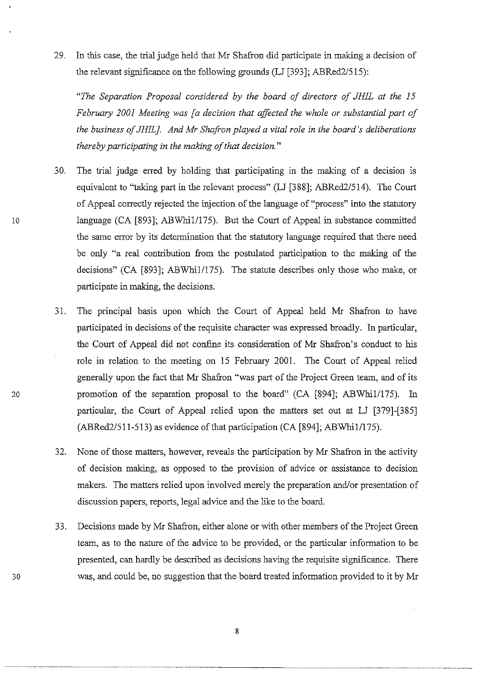29. In this case, the trial judge held that Mr Shafron did participate in making a decision of the relevant significance on the following grounds (LJ [393]; ABRed2/515):

*"The Separation Proposal considered by the board of directors of JHIL at the 15 Februa7Y 2001 Meeting was [a decision that affected the whole or substantial part of the business of JH1L}. And Mr Shaji-on played a vital role in the board's deliberations thereby participating in the making of that decision. "* 

- 30. The trial judge erred by holding that participating in the making of a decision is equivalent to "taking part in the relevant process" (LJ [388]; ABRed2/514). The Court of Appeal correctly rejected the injection of the language of "process" into the statutory 10 language (CA [893]; ABWhi1/175). But the Court of Appeal in substance committed the same error by its determination that the statutory language required that there need be only "a real contribution from the postulated participation to the making of the decisions" (CA [893]; ABWhi1/175). The statute describes only those who make, or participate in making, the decisions.
	- 31. The principal basis upon which the Court of Appeal held Mr Shafron to have participated in decisions of the requisite character was expressed broadly. In particular, the Court of Appeal did not confine its consideration of Mr Shafron's conduct to his role in relation to the meeting on 15 February 2001. The Court of Appeal relied generally upon the fact that Mr Shafron "was part of the Project Green team, and of its promotion of the separation proposal to the board" (CA [894]; ABWhi1/175). In particular, the Court of Appeal relied upon the matters set out at LJ [379]-[385]  $(ABRed2/511-513)$  as evidence of that participation  $(CA [894]; ABWhi1/175)$ .
	- 32. None of those matters, however, reveals the participation by Mr Shafron in the activity of decision making, as opposed to the provision of advice or assistance to decision makers. The matters relied upon involved merely the preparation and/or presentation of discussion papers, reports, legal advice and the like to the board.
	- 33. Decisions made by Mr Shafron, either alone or with other members of the Project Green team, as to the nature of the advice to be provided, or the particular information to be presented, can hardly be described as decisions having the requisite significance. There was, and could be, no suggestion that the board treated information provided to it by Mr

20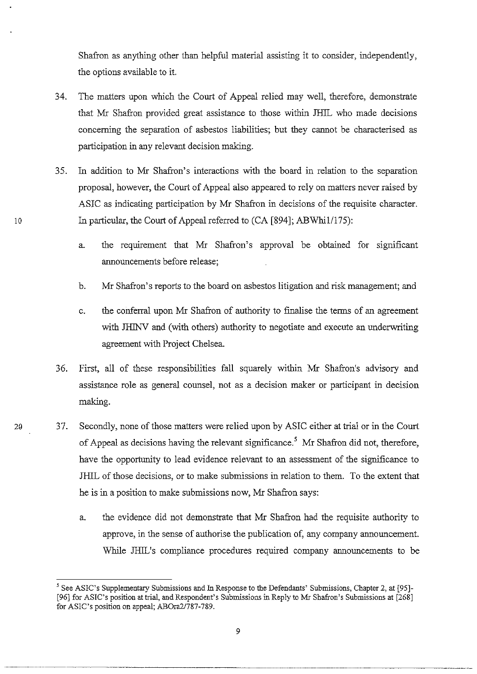Shafron as anything other than helpful material assisting it to consider, independently, the options available to it.

- 34. The matters upon which the Court of Appeal relied may well, therefore, demonstrate that Mr Shafron provided great assistance to those within JHIL who made decisions concerning the separation of asbestos liabilities; but they cannot be characterised as participation in any relevant decision making.
- 35. In addition to Mr Shafron's interactions with the board in relation to the separation proposal, however, the Court of Appeal also appeared to rely on matters never raised by ASIC as indicating participation by Mr Shafron in decisions of the requisite character. In particular, the Court of Appeal referred to (CA [894]; ABWhi1/175):
	- a. the requirement that Mr Shafron's approval be obtained for significant announcements before release;
	- b. Mr Shafron's reports to the board on asbestos litigation and risk management; and
	- c. the conferral upon Mr Shafron of authority to finalise the terms of an agreement with JHINV and (with others) authority to negotiate and execute an underwriting agreement with Project Chelsea.
- 36. First, all of these responsibilities fall squarely within Mr Shafron's advisory and assistance role as general counsel, not as a decision maker or participant in decision making.
- 20 37. Secondly, none of those matters were relied upon by ASIC either at trial or in the Court of Appeal as decisions having the relevant significance.<sup>5</sup> Mr Shafron did not, therefore, have the opportunity to lead evidence relevant to an assessment of the significance to JHIL of those decisions, or to make submissions in relation to them. To the extent that he is in a position to make submissions now, Mr Shafron says:
	- a. the evidence did not demonstrate that Mr Shafron had the requisite authority to approve, in the sense of authorise the publication of, any company announcement. While JHIL's compliance procedures required company announcements to be

<sup>5</sup> See ASIC's Supplementary Submissions and In Response to the Defendants' Submissions, Chapter 2, at [95]- [96] for ASIC's position at trial, and Respondent's Submissions in Reply to Mr Shafron's Submissions at [268] for ASIC's position on appeal; AB0ra21787-789.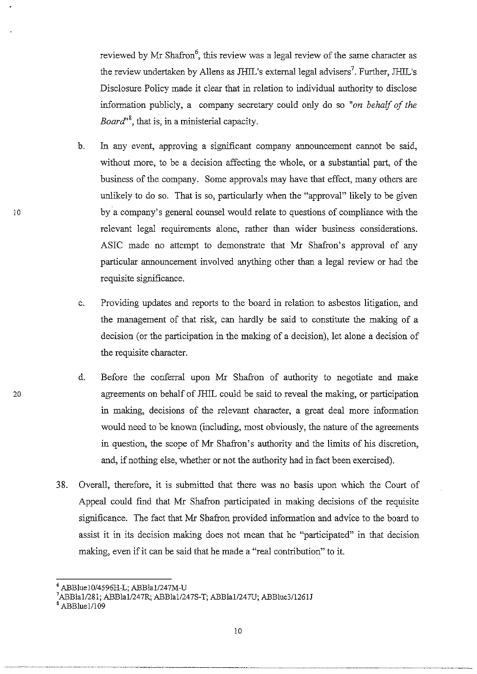reviewed by Mr Shafron<sup>6</sup>, this review was a legal review of the same character as the review undertaken by Allens as JHIL's external legal advisers<sup>7</sup>. Further, JHIL's Disclosure Policy made it clear that in relation to individual authority to disclose information publicly, a company secretary could only do so "on behalf of the *Board*<sup>18</sup>, that is, in a ministerial capacity.

- b. In any event, approving a significant company announcement cannot be said, without more, to be a decision affecting the whole, or a substantial part, of the business of the company. Some approvals may have that effect, many others are unlikely to do so. That is so, particularly when the "approval" likely to be given by a company's general counsel would relate to questions of compliance with the relevant legal requirements alone, rather than wider business considerations. ASIC made no attempt to demonstrate that Mr Shafron's approval of any particular announcement involved anything other than a legal review or had the requisite significance.
- c. Providing updates and reports to the board in relation to asbestos litigation, and the management of that risk, can hardly be said to constitute the making of a decision (or the participation in the making of a decision), let alone a decision of the requisite character.
- d. Before the conferral upon Mr Shafron of authority to negotiate and make agreements on behalf of JHIL could be said to reveal the making, or participation in making, decisions of the relevant character, a great deal more information would need to be known (including, most obviously, the nature of the agreements in question, the scope of Mr Shafron's authority and the limits of his discretion, and, if nothing else, whether or not the authority had in fact been exercised).
- 38. Overall, therefore, it is submitted that there was no basis upon which the Court of Appeal could find that Mr Shafron participated in making decisions of the requisite significance. The fact that Mr Shafron provided information and advice to the board to assist it in its decision making does not mean that he "participated" in that decision making, even if it can be said that he made a "real contribution" to it.

10

 $6$  ABBluel0/4596H-L; ABBla1/247M-U

<sup>&</sup>lt;sup>7</sup>ABBla1/281; ABBla1/247R; ABBla1/247S-T; ABBla1/247U; ABBlue3/1261J

<sup>,</sup> ABBluel/109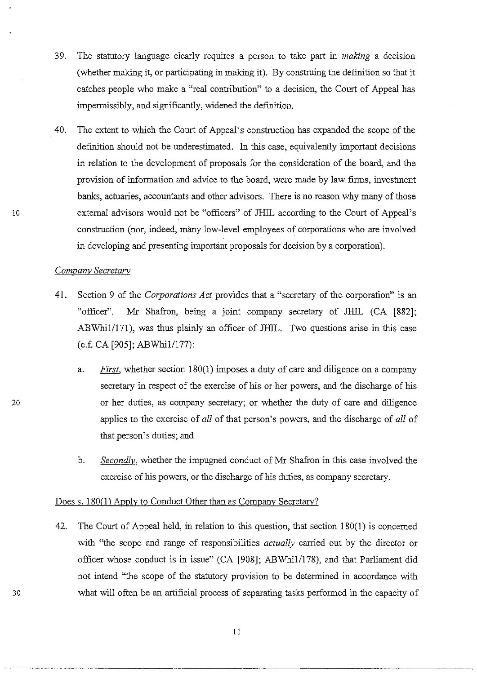- 39. The statutory language clearly requires a person to take part in *making* a decision (whether making it, or participating in making it). By construing the definition so that it catches people who make a "real contribution" to a decision, the Court of Appeal has impermissibly, and significantly, widened the definition.
- 40. The extent to which the Court of Appeal's construction has expanded the scope of the definition should not be underestimated. In this case, equivalently important decisions in relation to the development of proposals for the consideration of the board, and the provision of information and advice to the board, were made by law firms, investment banks, actuaries, accountants and other advisors. There is no reason why many of those external advisors would not be "officers" of JHIL according to the Court of Appeal's construction (nor, indeed, mimy low-level employees of corporations who are involved in developing and presenting importimt proposals for decision by a corporation).

## *Company SecretaTY*

- 41. Section 9 of the *Corporations Act* provides that a "secretary of the corporation" is an "officer". Mr Shafron, being a joint company secretary of JHIL (CA [882]; ABWhi1/171), was thus plainly an officer of JHIL. Two questions arise in this case (c.f. CA [905]; ABWhi1/177):
	- a. *First,* whether section 180(1) imposes a duty of care and diligence on a company secretary in respect of the exercise of his or her powers, and the discharge of his or her duties, as company secretary; or whether the duty of care and diligence applies to the exercise of *all* of that person's powers, and the discharge of *all* of that person's duties; and
	- b. *Secondly,* whether the impugned conduct of Mr Shafron in this case involved the exercise of his powers, or the discharge of his duties, as company secretary.

# Does s. 180(1) Apply to Conduct Other than as Company Secretary?

42. The Court of Appeal held, in relation to this question, that section 180(1) is concerned with "the scope and range of responsibilities *actually* carried out by the director or officer whose conduct is in issue" (CA [908]; ABWhiI/178), and that Parliament did not intend "the scope of the statutory provision to be determined in accordance with what will often be an artificial process of separating tasks performed in the capacity of

20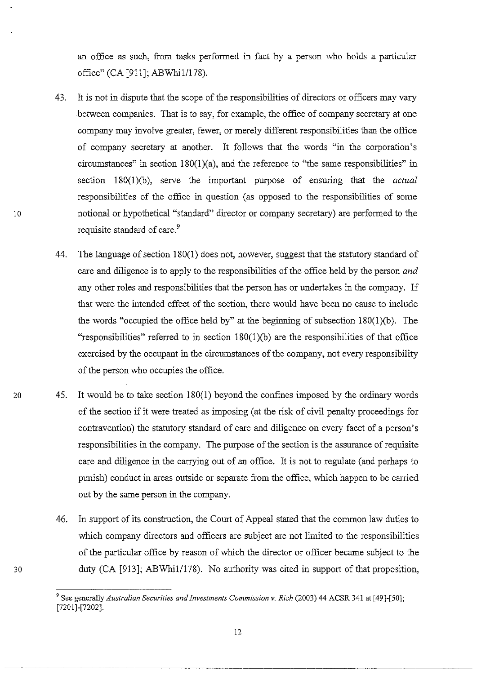an office as such, from tasks performed in fact by a person who holds a particular office" (CA [911]; ABWhi1/178).

- 43. It is not in dispute that the scope of the responsibilities of directors or officers may vary between companies. That is to say, for example, the office of company secretary at one company may involve greater, fewer, or merely different responsibilities than the office of company secretary at another. It follows that the words "in the corporation's circumstances" in section  $180(1)(a)$ , and the reference to "the same responsibilities" in section 180(1)(b), serve the important purpose of ensuring that the *actual*  responsibilities of the office in question (as opposed to the responsibilities of some notional or hypothetical "standard" director or company secretary) are performed to the requisite standard of care.<sup>9</sup>
- 44. The language of section 180(1) does not, however, suggest that the statutory standard of care and diligence is to apply to the responsibilities of the office held by the person *and*  any other roles and responsibilities that the person has or undertakes in the company. If that were the intended effect of the section, there would have been no cause to include the words "occupied the office held by" at the beginning of subsection 180(1)(b). The "responsibilities" referred to in section  $180(1)(b)$  are the responsibilities of that office exercised by the occupant in the circumstances of the company, not every responsibility of the person who occupies the office.
- 20 45. It would be to take section 180(1) beyond the confines imposed by the ordinary words of the section if it were treated as imposing (at the risk of civil penalty proceedings for contravention) the statutory standard of care and diligence on every facet of a person's responsibilities in the company. The purpose of the section is the assurance of requisite care and diligence in the carrying out of an office. It is not to regulate (and perhaps to punish) conduct in areas outside or separate from the office, which happen to be carried out by the same person in the company.
	- 46. In support of its construction, the Court of Appeal stated that the common law duties to which company directors and officers are subject are not limited to the responsibilities of the particular office by reason of which the director or officer became subject to the duty (CA [913]; ABWhi1/178). No authority was cited in support of that proposition,

<sup>9</sup> See generally *Australian Securities and Investments Commission* v. *Rich* (2003) 44 ACSR 341 at [49]-[50]; [7201]-[7202].

<sup>12</sup>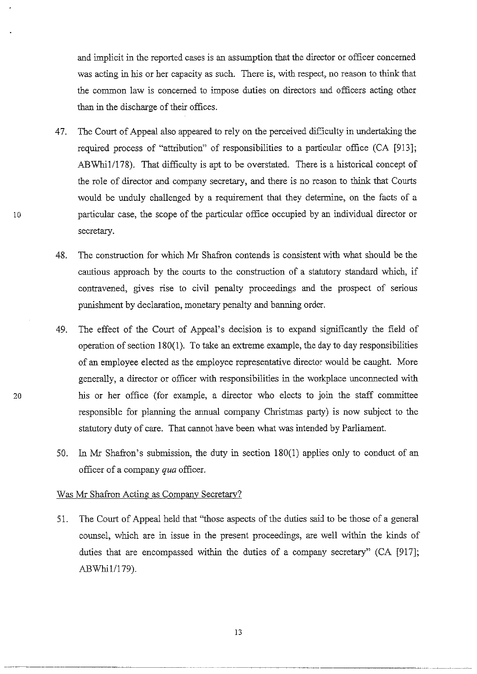and implicit in the reported cases is an assumption that the director or officer concerned was acting in his or her capacity as such. There is, with respect, no reason to think that the common law is concerned to impose duties on directors and officers acting other than in the discharge of their offices.

- 47. The Court of Appeal also appeared to rely on the perceived difficulty in undertaking the required process of "attribution" of responsibilities to a particular office (CA [913]; ABWhi1/178). That difficulty is apt to be overstated. There is a historical concept of the role of director and company secretary, and there is no reason to think that Courts would be unduly challenged by a requirement that they determine, on the facts of a particular case, the scope of the particular office occupied by an individual director or secretary.
- 48. The construction for which Mr Shafron contends is consistent with what should be the cautious approach by the courts to the construction of a statutory standard which, if contravened, gives rise to civil penalty proceedings and the prospect of serious punishment by declaration, monetary penalty and banning order.
- 49. The effect of the Court of Appeal's decision is to expand significantly the field of operation of section 180(1). To take an extreme example, the day to day responsibilities of an employee elected as the employee representative director would be caught. More generally, a director or officer with responsibilities in the workplace unconnected with his or her office (for example, a director who elects to join the staff committee responsible for planning the annual company Christmas party) is now subject to the statutory duty of care. That cannot have been what was intended by Parliament.
- In Mr Shafron's submission, the duty in section  $180(1)$  applies only to conduct of an 50. officer of a company qua officer.

## Was Mr Shafron Acting as Company Secretary?

51. The Court of Appeal held that "those aspects of the duties said to be those of a general counsel, which are in issue in the present proceedings, are well within the kinds of duties that are encompassed within the duties of a company secretary" (CA [917]; ABWhi1/179).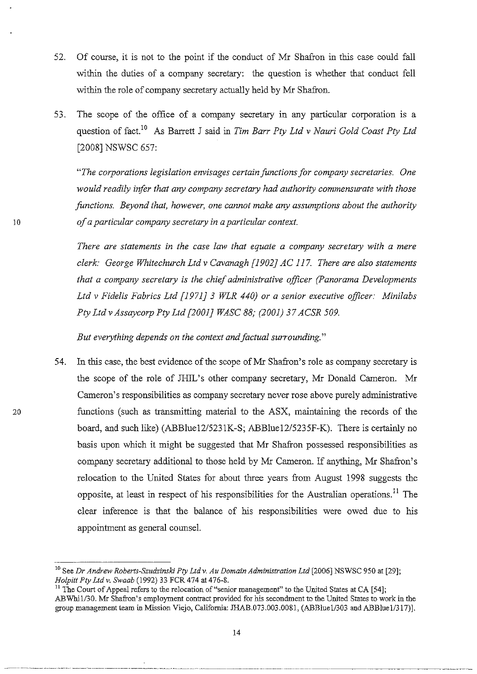- 52. Of course, it is not to the point if the conduct of Mr Shafron in this case could fall within the duties of a company secretary: the question is whether that conduct fell within the role of company secretary actually held by Mr Shafron.
- 53. The scope of the office of a company secretary in any particular corporation is a question of fact.!O As Barrett J said in *Tim Barr Pty Ltd* v *Nauri Gold Coast Pty Ltd*  [2008] NSWSC 657:

*"The corporations legislation envisages certain functions for company secretaries. One would readily infer that any company secretmy had authority commensurate with those functions. Beyond that, however, one cannot make any assumptions about the authority of a particular company secretary in a particular context.* 

*There are statements in the case law that equate a company secretary with a mere clerk: George Whitechurch Ltd* v *Cavanagh [1902J AC* 117. *There are also statements that a company secretary is the chief administrative officer (Panorama Developments Ltd* v *Fidelis Fabrics Ltd* [J *971J* 3 *WLR 440) or a senior executive officer: Minilabs Pty Ltd* v *Assaycorp Pty Ltd [2001J WASC* 88; *(2001)* 37 *ACSR 509.* 

*But everything depends on the context and factual surrounding. "* 

54. In this case, the best evidence of the scope of Mr Shafron's role as company secretary is the scope of the role of JHIL's other company secretary, Mr Donald Cameron. Mr Cameron's responsibilities as company secretary never rose above purely administrative functions (such as transmitting material to the ASX, maintaining the records of the board, and such like) (ABBlueI2/5231K-S; ABBlueI2/5235F-K). There is certainly no basis upon which it might be suggested that Mr Shafron possessed responsibilities as company secretary additional to those held by Mr Cameron. If anything, Mr Shafron's relocation to the United States for about three years from August 1998 suggests the opposite, at least in respect of his responsibilities for the Australian operations.!! The clear inference is that the balance of his responsibilities were owed due to his appointment as general counsel.

<sup>10</sup> See *Dr Andrew Roberts-Szudzinski Ply Lld v. Au Domain Administration Ltd* [2006] NSWSC 950 at [29]; *Holpitt Pty Ltd v. Swaab* (1992) 33 FCR 474 at 476-8.

<sup>&</sup>lt;sup>11</sup> The Court of Appeal refers to the relocation of "senior management" to the United States at CA [54]; ABWhil/30. Mr Shafron's employment contract provided for his secondment to the United States to work in the group management team in Mission Viejo, California: JHAB.073.003.0081, (ABBlue1/303 and ABBlue1/317)].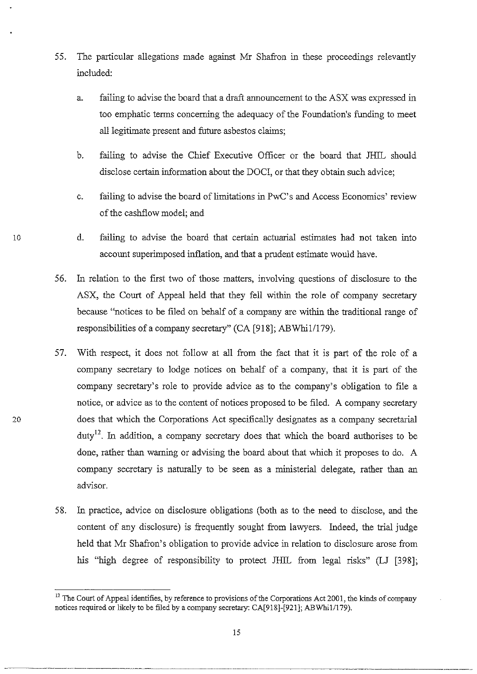- 55. The particular allegations made against Mr Shafron in these proceedings relevantly included:
	- a. failing to advise the board that a draft announcement to the ASX was expressed in too emphatic terms concerning the adequacy of the Foundation's funding to meet all legitimate present and future asbestos claims;
	- b. failing to advise the Chief Executive Officer or the board that JHIL should disclose certain information about the DOCI, or that they obtain such advice;
	- c. failing to advise the board of limitations in PwC's and Access Economics' review of the cashflow model; and
	- d. failing to advise the board that certain actuarial estimates had not taken into account superimposed inflation, and that a prudent estimate would have.
- 56. In relation to the first two of those matters, involving questions of disclosure to the ASX, the Court of Appeal held that they fell within the role of company secretary because "notices to be filed on behalf of a company are within the traditional range of responsibilities of a company secretary" (CA [918]; ABWhi1/179).
- 57. With respect, it does not follow at all from the fact that it is part of the role of a company secretary to lodge notices on behalf of a company, that it is part of the company secretary's role to provide advice as to the company's obligation to file a notice, or advice as to the content of notices proposed to be filed. A company secretary does that which the Corporations Act specifically designates as a company secretarial  $duty<sup>12</sup>$ . In addition, a company secretary does that which the board authorises to be done, rather than warning or advising the board about that which it proposes to do. A company secretary is naturally to be seen as a ministerial delegate, rather than an advisor.
- 58. In practice, advice on disclosure obligations (both as to the need to disclose, and the content of any disclosure) is frequently sought from lawyers. Indeed, the trial judge held that Mr Shafron's obligation to provide advice in relation to disclosure arose from his "high degree of responsibility to protect JHIL from legal risks" (LJ [398];

10

<sup>&</sup>lt;sup>12</sup> The Court of Appeal identifies, by reference to provisions of the Corporations Act 2001, the kinds of company notices required or likely to be filed by a company secretary: CA[918]-[921]; ABWhi1/179).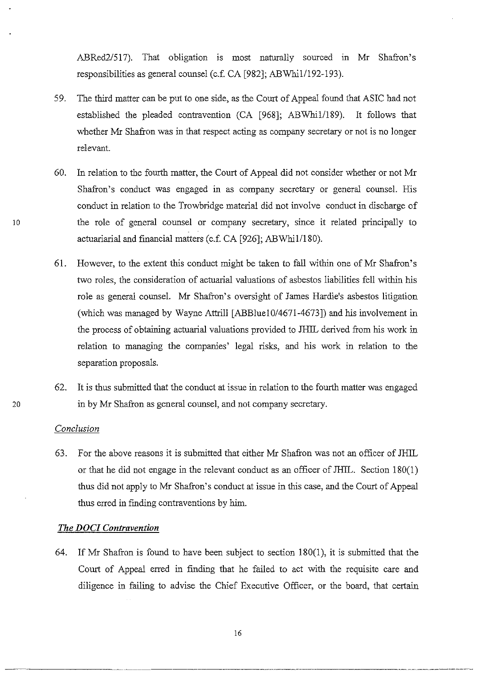ABRed2/517). That obligation is most naturally sourced in Mr Shafron's responsibilities as general counsel (c.f. CA [982]; ABWhil/192-l93).

- 59. The third matter can be put to one side, as the Court of Appeal found that ASIC had not established the pleaded contravention (CA [968]; ABWhil/189). It follows that whether Mr Shafron was in that respect acting as company secretary or not is no longer relevant.
- 60. In relation to the fourth matter, the Court of Appeal did not consider whether or not Mr Shafron's conduct was engaged in as company secretary or general counsel. His conduct in relation to the Trowbridge material did not involve conduct in discharge of 10 the role of general counsel or company secretary, since it related principally to actuariarial and financial matters (c.f. CA [926]; ABWhi1/180).
	- 61. However, to the extent this conduct might be taken to fall within one of Mr Shafron's two roles, the consideration of actuarial valuations of asbestos liabilities fell within his role as general counsel. Mr Shafron's oversight of James Hardie's asbestos litigation (which was managed by Wayne Attrill [ABBluelO/467l-4673]) and his involvement in the process of obtaining actuarial valuations provided to JHIL derived from his work in relation to managing the companies' legal risks, and his work in relation to the separation proposals.
- 62. It is thus submitted that the conduct at issue in relation to the fourth matter was engaged 20 in by Mr Shafron as general counsel, and not company secretary.

#### *Conclusion*

63. For the above reasons it is submitted that either Mr Shafron was not an officer of JHIL or that he did not engage in the relevant conduct as an officer of JHIL. Section 180(1) thus did not apply to Mr Shafron's conduct at issue in this case, and the Court of Appeal thus erred in fmding contraventions by him.

## *The DOCI Contravention*

64. If Mr Shafron is found to have been subject to section 180(1), it is submitted that the Court of Appeal erred in finding that he failed to act with the requisite care and diligence in failing to advise the Chief Executive Officer, or the board, that certain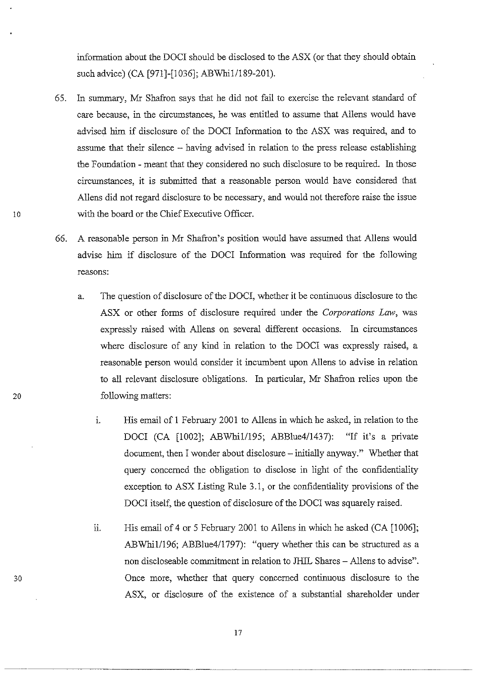information about the DOCr should be disclosed to the ASX (or that they should obtain such advice) (CA [971]-[1036]; ABWhi1/189-201).

- 65. In summary, Mr Shafron says that he did not fail to exercise the relevant standard of care because, in the circumstances, he was entitled to assume that AlIens would have advised him if disclosure of the DOCI Information to the ASX was required, and to assume that their silence - having advised in relation to the press release establishing the Foundation - meant that they considered no such disclosure to be required. In those circumstances, it is submitted that a reasonable person would have considered that AlIens did not regard disclosure to be necessary, and would not therefore raise the issue 10 with the board or the Chief Executive Officer.
	- 66. A reasonable person in Mr Shafron's position would have assumed that AlIens would advise him if disclosure of the DOCI Information was required for the following reasons:
- a. The question of disclosure of the DOCr, whether it be continuous disclosure to the ASX or other forms of disclosure required under the *Corporations Law,* was expressly raised with AlIens on several different occasions. In circumstances where disclosure of any kind in relation to the DOCI was expressly raised, a reasonable person would consider it incumbent upon AlIens to advise in relation to all relevant disclosure obligations. In particular, Mr Shafron relies upon the 20 following matters:
	- i. His email of 1 February 2001 to Allens in which he asked, in relation to the DOCI (CA [1002]; ABWhi1/195; ABBlue4/1437): "If it's a private document, then I wonder about disclosure -- initially anyway." Whether that query concerned the obligation to disclose in light of the confidentiality exception to ASX Listing Rule 3.1, or the confidentiality provisions of the DOCI itself, the question of disclosure of the DOCI was squarely raised.
	- ii. His email of 4 or 5 February 2001 to Allens in which he asked (CA [1006]; ABWhill196; ABBlue4/1797): "query whether this can be structured as a non discloseable commitment in relation to JHIL Shares - Allens to advise". Once more, whether that query concerned continuous disclosure to the ASX, or disclosure of the existence of a substantial shareholder under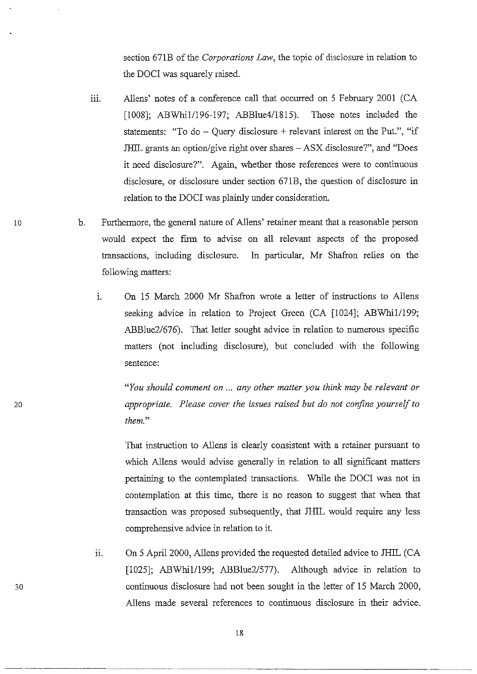section 671B of the *Corporations Law,* the topic of disclosure in relation to the DOCI was squarely raised.

- 111. Allens' notes of a conference call that occurred on 5 February 2001 (CA [1008]; ABWhi1/196-197; ABBlue4/1815). Those notes included the statements: "To do  $-$  Ouery disclosure  $+$  relevant interest on the Put.", "if JHIL grants an option/give right over shares – ASX disclosure?", and "Does it need disclosure?". Again, whether those references were to continuous disclosure, or disclosure under section 671B, the question of disclosure in relation to the DOCI was plainly under consideration.
- 10 b. Furthermore, the general nature of Aliens' retainer meant that a reasonable person would expect the firm to advise on all relevant aspects of the proposed transactions, including disclosure. In particular, Mr Shafron relies on the following matters:
	- 1. On 15 March 2000 Mr Shafron wrote a letter of instructions to Aliens seeking advice in relation to Project Green (CA [1024]; ABWhi1/199; ABBlue2/676). That letter sought advice in relation to numerous specific matters (not including disclosure), but concluded with the following sentence:

*"You should comment on* ... *any other matter you think may be relevant or appropriate. Please cover the issues raised but do not confine yourself to them."* 

That instruction to Aliens is clearly consistent with a retainer pursuant to which Allens would advise generally in relation to all significant matters pertaining to the contemplated transactions. While the DOCI was not in contemplation at this time, there is no reason to suggest that when that transaction was proposed subsequently, that JHIL would require any less comprehensive advice in relation to it.

n. On 5 April 2000, Allens provided the requested detailed advice to JHIL (CA [1025]; ABWhi1/199; ABBlue2/577). Although advice in relation to continuous disclosure had not been sought in the letter of 15 March 2000, Aliens made several references to continuous disclosure in their advice.

-------~-~----~------- --------------- --------\_.\_--------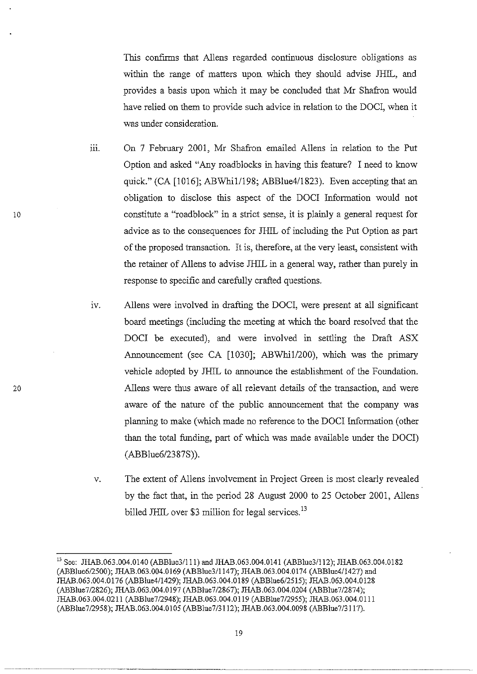Ibis confrrms that AlIens regarded continuous disclosure obligations as within the range of matters upon which they should advise lHIL, and provides a basis upon which it may be concluded that Mr Shafron would have relied on them to provide such advice in relation to the DOCI, when it was under consideration.

iii. On 7 February 2001, Mr Shafron emailed Allens in relation to the Put Option and asked "Any roadblocks in having this feature? I need to know quick." (CA [1016]; ABWhi1/198; ABBlue4/1823). Even accepting that an obligation to disclose this aspect of the DOeI Information would not constitute a "roadblock" in a strict sense, it is plainly a general request for advice as to the consequences for JHIL of including the Put Option as part of the proposed transaction. It is, therefore, at the very least, consistent with the retainer of Aliens to advise **JHIL** in a general way, rather than purely in response to specific and carefully crafted questions.

10

- iv. Allens were involved in drafting the DOCI, were present at all significant board meetings (including the meeting at which the board resolved that the DOCI be executed), and were involved in settling the Draft ASX Announcement (see CA [1030]; ABWhiI/200), which was the primary vehicle adopted by JHIL to announce the establishment of the Foundation. Allens were thus aware of all relevant details of the transaction, and were aware of the nature of the public announcement that the company was planning to make (which made no reference to the DOer Information (other than the total funding, part of which was made available under the DOCI) *(ABBlue6/23* 87S».
- v. The extent of AlIens involvement in Project Green is most clearly revealed by the fact that, in the period 28 August 2000 to 25 October 2001, AlIens billed JHIL over \$3 million for legal services.<sup>13</sup>

<sup>13</sup> See: JHAB.063.004.0140 (ABBlue3/l11) and JHAB.063.004.0141 (ABBlue3/112); JHAB.063.004.0182 (ABBlue6/2500); JHAB.063.004.0 169 (ABBlue3/1147); JHAB.063 .004.0 174 (ABBlue4/1427) and JHAB.063.004.0176 (ABBlue4/1429); JHAB.063.004.0189 (ABBlue6/25 15); JHAB.063.004.0128 (ABB1ue7/2826); JHAB.063.004.0197 (ABBlue7/2867); JHAB.063.004.0204 (ABBlue7/2874); JHAB.063.004.0211 (ABBlue7/2948); JHAB.063.004.0119 (ABBlue7/2955); JHAB.063.004.0111 (ABBlue7/2958); JHAB.063.004.0105 (ABBlue7/3112); JHAB.063.004.0098 (ABBlue7/3117).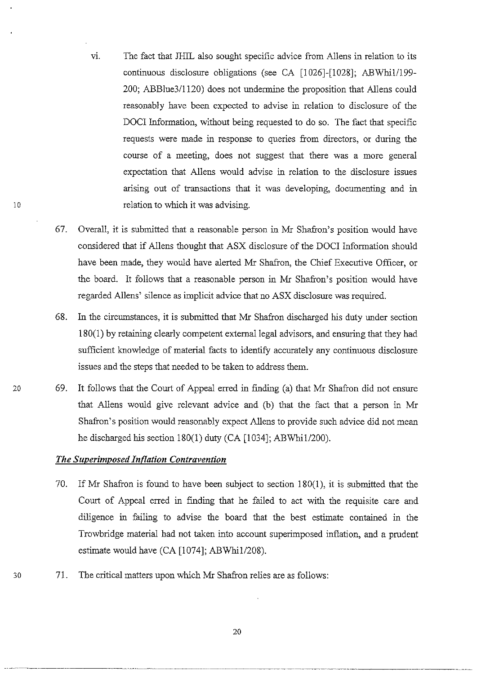- vi. The fact that JHIL also sought specific advice from Allens in relation to its continuous disclosure obligations (see CA [1026]-[1028]; ABWhi1/199-200; ABBlue311120) does not undermine the proposition that AlIens could reasonably have been expected to advise in relation to disclosure of the DOCI Information, without being requested to do so. The fact that specific requests were made in response to queries from directors, or during the course of a meeting, does not suggest that there was a more general expectation that AlIens would advise in relation to the disclosure issues arising out of transactions that it was developing, documenting and in 10 relation to which it was advising.
	- 67. Overall, it is submitted that a reasonable person in Mr Shafron's position would have considered that if AlIens thought that ASX disclosure of the DOCI Information should have been made, they would have alerted Mr Shafron, the Chief Executive Officer, or the board. It follows that a reasonable person in Mr Shafron's position would have regarded AlIens' silence as implicit advice that no ASX disclosure was required.
	- 68. In the circumstances, it is submitted that Mr Shafron discharged his duty under section 180(1) by retaining clearly competent external legal advisors, and ensuring that they had sufficient knowledge of material facts to identify accurately any continuous disclosure issues and the steps that needed to be taken to address them.
- 20 69. It follows that the Court of Appeal erred in finding (a) that Mr Shafron did not ensure that Aliens would give relevant advice and (b) that the fact that a person in Mr Shafron's position would reasonably expect Aliens to provide such advice did not mean he discharged his section 180(1) duty (CA [1034]; ABWhi1/200).

# *The Superimposed Inflation Contravention*

- 70. If Mr Shafron is found to have been subject to section  $180(1)$ , it is submitted that the Court of Appeal erred in fmding that he failed to act with the requisite care and diligence in failing to advise the board that the best estimate contained in the Trowbridge material had not taken into account superimposed inflation, and a prudent estimate would have (CA [1074]; ABWhi1/208).
- 30 71. The critical matters upon which Mr Shafron relies are as follows:

-------------~--------~~ ----------------~-----~-----~-----------------------~--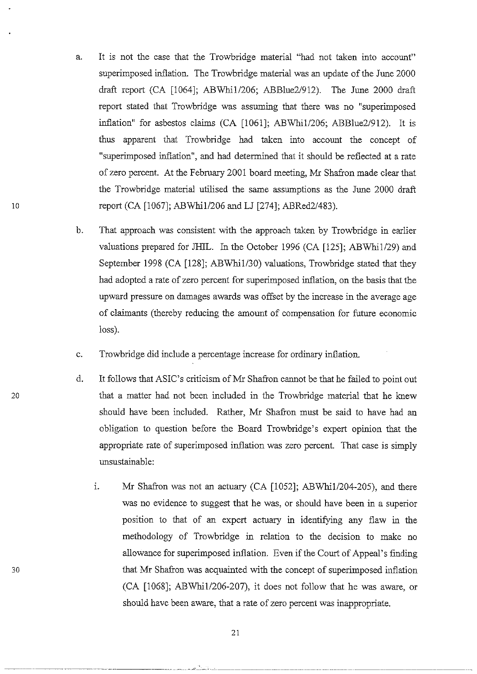- a. It is not the case that the Trowbridge material "had not taken into account" superimposed inflation. The Trowbridge material was an update of the June 2000 draft report (CA [1064]; ABWhi1/206; ABBlue2/912). The June 2000 draft report stated that Trowbridge was assuming that there was no "superimposed inflation" for asbestos claims (CA [1061]; ABWhi1/206; ABBlue2/912). It is thus apparent that Trowbridge had taken into account the concept of "superimposed inflation", and had determined that it should be reflected at a rate of zero percent. At the February 2001 board meeting, Mr Shafron made clear that the Trowbridge material utilised the same assumptions as the June 2000 draft 10 report (CA [1067]; ABWhi1/206 and LJ [274]; ABRed2/483).
	- b. That approach was consistent with the approach taken by Trowbridge in earlier valuations prepared for JHIL. In the October 1996 (CA [125]; ABWhi1/29) and September 1998 (CA [128]; ABWhi1/30) valuations, Trowbridge stated that they had adopted a rate of zero percent for superimposed inflation, on the basis that the upward pressure on damages awards was offset by the increase in the average age of claimants (thereby reducing the amount of compensation for future economic loss).
	- c. Trowbridge did include a percentage increase for ordinary inflation.
- d. It follows that ASIC's criticism of Mr Shafron cannot be that he failed to point out 20 that a matter had not been included in the Trowbridge material that he knew should have been included. Rather, Mr Shafron must be said to have had an obligation to question before the Board Trowbridge's expert opinion that the appropriate rate of superimposed inflation was zero percent. That case is simply unsustainable:
	- i. Mr Shafron was not an actuary (CA [1052]; ABWhi1/204-205), and there was no evidence to suggest that he was, or should have been in a superior position to that of an expert actuary in identifying any flaw in the methodology of Trowbridge in relation to the decision to make no allowance for superimposed inflation. Even if the Court of Appeal's finding that Mr Shafron was acquainted with the concept of superimposed inflation (CA [1068]; ABWhi1l206-207), it does not follow that he was aware, or should have been aware, that a rate of zero percent was inappropriate.

30

~~.-----.. - .. -... --~ ........•..... -.. ---- ..... ~-----.-.------.. --.-.-... --- ... ~~ .\_-------\_ .. -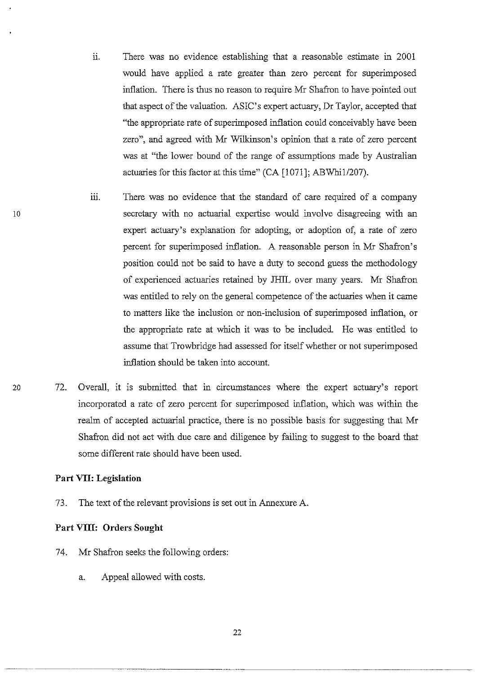- ii. There was no evidence establishing that a reasonable estimate in 2001 would have applied a rate greater than zero percent for superimposed inflation. There is thus no reason to require Mr Shafron to have pointed out that aspect of the valuation. ASIC's expert actuary, Dr Taylor, accepted that "the appropriate rate of superimposed inflation could conceivably have been zero", and agreed with Mr Wilkinson's opinion that a rate of zero percent was at "the lower bound of the range of assumptions made by Australian actuaries for this factor at this time" (CA [1071]; *ABWhil/207).*
- iii. There was no evidence that the standard of care required of a company secretary with no actuarial expertise would involve disagreeing with an expert actuary's explanation for adopting, or adoption of, a rate of zero percent for superimposed inflation. A reasonable person in Mr Shafron's position could not be said to have a duty to second guess the methodology of experienced actuaries retained by JHIL over many years. Mr Shafron was entitled to rely on the general competence of the actuaries when it came to matters like the inclusion or non-inclusion of superimposed inflation, or the appropriate rate at which it was to be included. He was entitled to assume that Trowbridge had assessed for itself whether or not superimposed inflation should be taken into account.
- 20 72. Overall, it is submitted that in circumstances where the expert actuary's report incorporated a rate of zero percent for superimposed inflation, which was within the realm of accepted actuarial practice, there is no possible basis for suggesting that Mr Shafron did not act with due care and diligence by failing to suggest to the board that some different rate should have been used.

# **Part VII: Legislation**

10

73. The text of the relevant provisions is set out in Annexure A.

## **Part VIII: Orders Sought**

- 74. Mr Shafron seeks the following orders:
	- a. Appeal allowed with costs.

22

~-~-~ --- ---------~~-.---~-~ ----- ---------------~---- ~-~--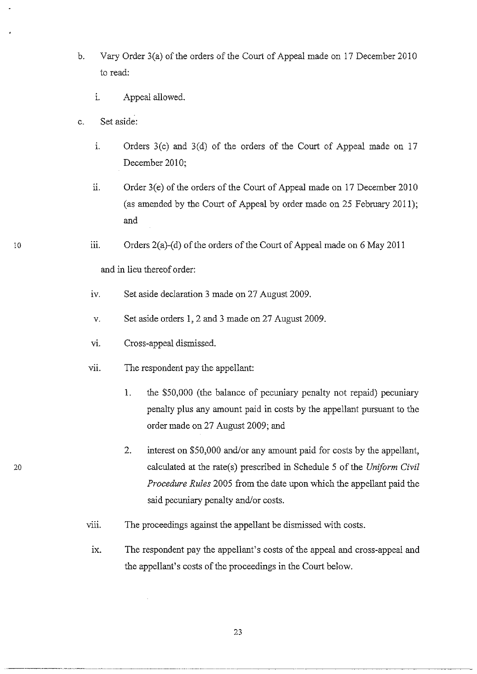- b. Vary Order 3(a) of the orders of the Court of Appeal made on 17 December 2010 to read:
	- i. Appeal allowed.
- c. Set aside:
	- 1. Orders 3(c) and 3(d) of the orders of the Court of Appeal made on 17 December 2010;
	- ii. Order 3(e) of the orders of the Court of Appeal made on 17 December 2010 (as amended by the Court of Appeal by order made on 25 February 2011); and
	- iii. Orders  $2(a)$ -(d) of the orders of the Court of Appeal made on 6 May 2011

and in lieu thereof order:

- iv. Set aside declaration 3 made on 27 August 2009.
- v. Set aside orders 1,2 and 3 made on 27 August 2009.
- VI. Cross-appeal dismissed.
- vii. The respondent pay the appellant:
	- 1. the \$50,000 (the balance of pecuniary penalty not repaid) pecuniary penalty plus any amount paid in costs by the appellant pursuant to the order made on 27 August 2009; and
	- 2. interest on \$50,000 and/or any amount paid for costs by the appellant, calculated at the rate(s) prescribed in Schedule 5 of the *Uniform Civil Procedure Rules* 2005 from the date upon which the appellant paid the said pecuniary penalty and/or costs.
- viii. The proceedings against the appellant be dismissed with costs.
- ix. The respondent pay the appellant's costs of the appeal and cross-appeal and the appellant's costs of the proceedings in the Court below.

10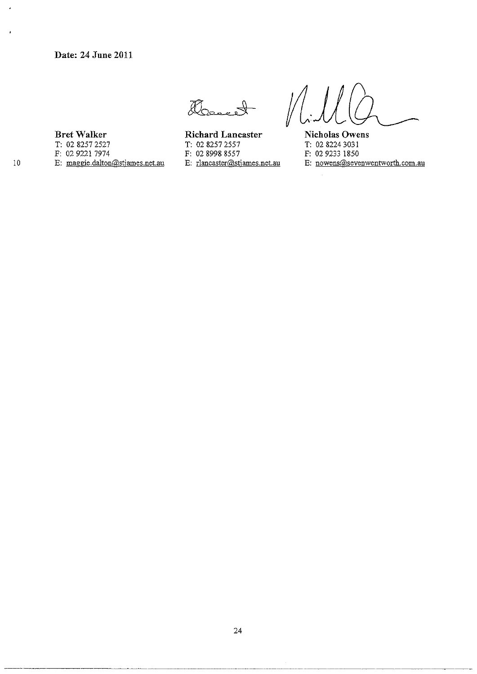aband

**BretWalker**  T: 02 82572527 F: 0292217974

E: maggie.dalton@stjames.net.au

**Richard Lancaster**  T: 02 82572557 F: 02 8998 8557 E: rlancaster@stjames.net.au

**Nicholas Owens**  T: 02 8224 3031 F: 029233 1850

E: **nowens@sevenwentworth.com.au** 

 $\overline{a}$ 

 $\bullet$